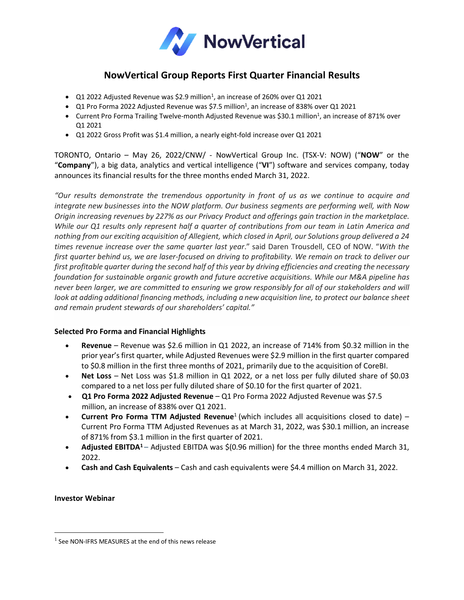

# **NowVertical Group Reports First Quarter Financial Results**

- $Q1$  2022 Adjusted Revenue was \$2.9 million<sup>1</sup>, an increase of 260% over Q1 2021
- Q1 Pro Forma 2022 Adjusted Revenue was \$7.5 million<sup>1</sup>, an increase of 838% over Q1 2021
- Current Pro Forma Trailing Twelve-month Adjusted Revenue was \$30.1 million<sup>1</sup>, an increase of 871% over Q1 2021
- Q1 2022 Gross Profit was \$1.4 million, a nearly eight-fold increase over Q1 2021

TORONTO, Ontario – May 26, 2022/CNW/ - NowVertical Group Inc. (TSX-V: NOW) ("**NOW**" or the "**Company**"), a big data, analytics and vertical intelligence ("**VI**") software and services company, today announces its financial results for the three months ended March 31, 2022.

*"Our results demonstrate the tremendous opportunity in front of us as we continue to acquire and integrate new businesses into the NOW platform. Our business segments are performing well, with Now Origin increasing revenues by 227% as our Privacy Product and offerings gain traction in the marketplace.* While our Q1 results only represent half a quarter of contributions from our team in Latin America and nothing from our exciting acquisition of Allegient, which closed in April, our Solutions group delivered a 24 *times revenue increase over the same quarter last year*." said Daren Trousdell, CEO of NOW. "*With the* first quarter behind us, we are laser-focused on driving to profitability. We remain on track to deliver our first profitable quarter during the second half of this year by driving efficiencies and creating the necessary *foundation for sustainable organic growth and future accretive acquisitions. While our M&A pipeline has* never been larger, we are committed to ensuring we grow responsibly for all of our stakeholders and will *look at adding additional financing methods, including a new acquisition line, to protect our balance sheet and remain prudent stewards of our shareholders' capital."*

## **Selected Pro Forma and Financial Highlights**

- **Revenue** Revenue was \$2.6 million in Q1 2022, an increase of 714% from \$0.32 million in the prior year's first quarter, while Adjusted Revenues were \$2.9 million in the first quarter compared to \$0.8 million in the first three months of 2021, primarily due to the acquisition of CoreBI.
- **Net Loss** Net Loss was \$1.8 million in Q1 2022, or a net loss per fully diluted share of \$0.03 compared to a net loss per fully diluted share of \$0.10 for the first quarter of 2021.
- **Q1 Pro Forma 2022 Adjusted Revenue** Q1 Pro Forma 2022 Adjusted Revenue was \$7.5 million, an increase of 838% over Q1 2021.
- **Current Pro Forma TTM Adjusted Revenue**<sup>1</sup> (which includes all acquisitions closed to date) Current Pro Forma TTM Adjusted Revenues as at March 31, 2022, was \$30.1 million, an increase of 871% from \$3.1 million in the first quarter of 2021.
- **Adjusted EBITDA<sup>1</sup>** Adjusted EBITDA was \$(0.96 million) for the three months ended March 31, 2022.
- **Cash and Cash Equivalents** Cash and cash equivalents were \$4.4 million on March 31, 2022.

**Investor Webinar**

<sup>&</sup>lt;sup>1</sup> See NON-IFRS MEASURES at the end of this news release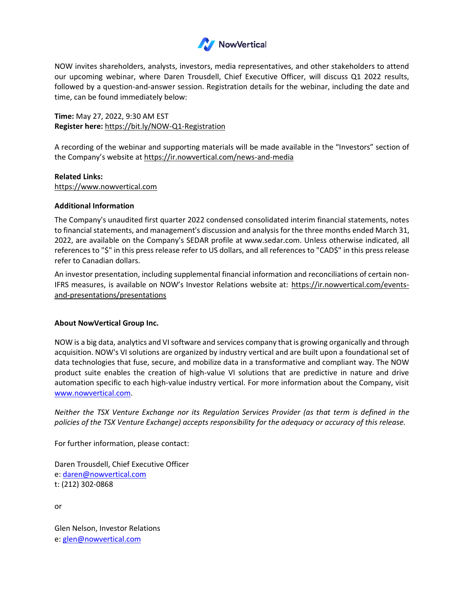

NOW invites shareholders, analysts, investors, media representatives, and other stakeholders to attend our upcoming webinar, where Daren Trousdell, Chief Executive Officer, will discuss Q1 2022 results, followed by a question-and-answer session. Registration details for the webinar, including the date and time, can be found immediately below:

**Time:** May 27, 2022, 9:30 AM EST **Register here:** <https://bit.ly/NOW-Q1-Registration>

A recording of the webinar and supporting materials will be made available in the "Investors" section of the Company's website at <https://ir.nowvertical.com/news-and-media>

**Related Links:** [https://www.nowvertical.com](https://www.nowvertical.com/)

## **Additional Information**

The Company's unaudited first quarter 2022 condensed consolidated interim financial statements, notes to financial statements, and management's discussion and analysis for the three months ended March 31, 2022, are available on the Company's SEDAR profile at [www.sedar.com.](https://c212.net/c/link/?t=0&l=en&o=3366053-1&h=1850721980&u=https://www.sedar.com/homepage_en.htm&a=www.sedar.com) Unless otherwise indicated, all references to "\$" in this press release refer to US dollars, and all references to "CAD\$" in this press release refer to Canadian dollars.

An investor presentation, including supplemental financial information and reconciliations of certain non-IFRS measures, is available on NOW's Investor Relations website at: [https://ir.nowvertical.com/events](https://ir.nowvertical.com/events-and-presentations/presentations)[and-presentations/presentations](https://ir.nowvertical.com/events-and-presentations/presentations)

## **About NowVertical Group Inc.**

NOW is a big data, analytics and VI software and services company that is growing organically and through acquisition. NOW's VI solutions are organized by industry vertical and are built upon a foundational set of data technologies that fuse, secure, and mobilize data in a transformative and compliant way. The NOW product suite enables the creation of high-value VI solutions that are predictive in nature and drive automation specific to each high-value industry vertical. For more information about the Company, visit [www.nowvertical.com.](http://www.nowvertical.com/)

*Neither the TSX Venture Exchange nor its Regulation Services Provider (as that term is defined in the policies of the TSX Venture Exchange) accepts responsibility for the adequacy or accuracy of this release.*

For further information, please contact:

Daren Trousdell, Chief Executive Officer e: [daren@nowvertical.com](mailto:daren@nowvertical.com) t: (212) 302-0868

or

Glen Nelson, Investor Relations e: [glen@nowvertical.com](mailto:glen@nowvertical.com)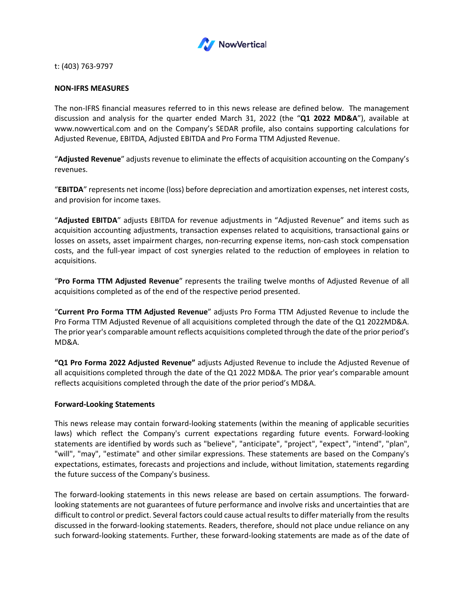

t: (403) 763-9797

## **NON-IFRS MEASURES**

The non-IFRS financial measures referred to in this news release are defined below. The management discussion and analysis for the quarter ended March 31, 2022 (the "**Q1 2022 MD&A**"), available at www.nowvertical.com and on the Company's SEDAR profile, also contains supporting calculations for Adjusted Revenue, EBITDA, Adjusted EBITDA and Pro Forma TTM Adjusted Revenue.

"**Adjusted Revenue**" adjusts revenue to eliminate the effects of acquisition accounting on the Company's revenues.

"**EBITDA**" represents net income (loss) before depreciation and amortization expenses, net interest costs, and provision for income taxes.

"**Adjusted EBITDA**" adjusts EBITDA for revenue adjustments in "Adjusted Revenue" and items such as acquisition accounting adjustments, transaction expenses related to acquisitions, transactional gains or losses on assets, asset impairment charges, non-recurring expense items, non-cash stock compensation costs, and the full-year impact of cost synergies related to the reduction of employees in relation to acquisitions.

"**Pro Forma TTM Adjusted Revenue**" represents the trailing twelve months of Adjusted Revenue of all acquisitions completed as of the end of the respective period presented.

"**Current Pro Forma TTM Adjusted Revenue**" adjusts Pro Forma TTM Adjusted Revenue to include the Pro Forma TTM Adjusted Revenue of all acquisitions completed through the date of the Q1 2022MD&A. The prior year's comparable amount reflects acquisitions completed through the date of the prior period's MD&A.

**"Q1 Pro Forma 2022 Adjusted Revenue"** adjusts Adjusted Revenue to include the Adjusted Revenue of all acquisitions completed through the date of the Q1 2022 MD&A. The prior year's comparable amount reflects acquisitions completed through the date of the prior period's MD&A.

#### **Forward‐Looking Statements**

This news release may contain forward‐looking statements (within the meaning of applicable securities laws) which reflect the Company's current expectations regarding future events. Forward-looking statements are identified by words such as "believe", "anticipate", "project", "expect", "intend", "plan", "will", "may", "estimate" and other similar expressions. These statements are based on the Company's expectations, estimates, forecasts and projections and include, without limitation, statements regarding the future success of the Company's business.

The forward-looking statements in this news release are based on certain assumptions. The forwardlooking statements are not guarantees of future performance and involve risks and uncertainties that are difficult to control or predict. Several factors could cause actual results to differ materially from the results discussed in the forward-looking statements. Readers, therefore, should not place undue reliance on any such forward-looking statements. Further, these forward-looking statements are made as of the date of